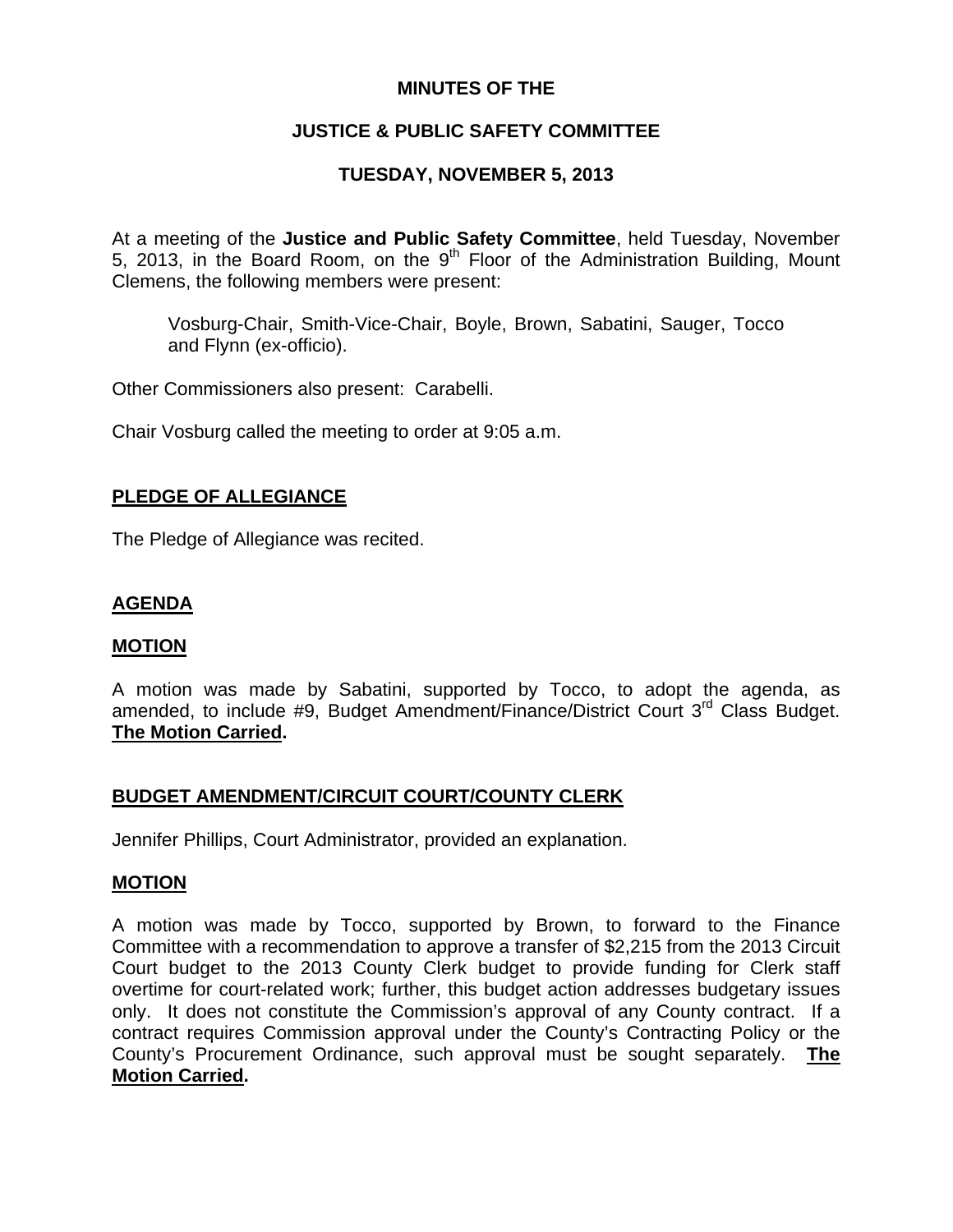## **MINUTES OF THE**

# **JUSTICE & PUBLIC SAFETY COMMITTEE**

## **TUESDAY, NOVEMBER 5, 2013**

At a meeting of the **Justice and Public Safety Committee**, held Tuesday, November 5, 2013, in the Board Room, on the  $9<sup>th</sup>$  Floor of the Administration Building, Mount Clemens, the following members were present:

Vosburg-Chair, Smith-Vice-Chair, Boyle, Brown, Sabatini, Sauger, Tocco and Flynn (ex-officio).

Other Commissioners also present: Carabelli.

Chair Vosburg called the meeting to order at 9:05 a.m.

## **PLEDGE OF ALLEGIANCE**

The Pledge of Allegiance was recited.

## **AGENDA**

#### **MOTION**

A motion was made by Sabatini, supported by Tocco, to adopt the agenda, as amended, to include #9, Budget Amendment/Finance/District Court 3<sup>rd</sup> Class Budget. **The Motion Carried.** 

## **BUDGET AMENDMENT/CIRCUIT COURT/COUNTY CLERK**

Jennifer Phillips, Court Administrator, provided an explanation.

#### **MOTION**

A motion was made by Tocco, supported by Brown, to forward to the Finance Committee with a recommendation to approve a transfer of \$2,215 from the 2013 Circuit Court budget to the 2013 County Clerk budget to provide funding for Clerk staff overtime for court-related work; further, this budget action addresses budgetary issues only. It does not constitute the Commission's approval of any County contract. If a contract requires Commission approval under the County's Contracting Policy or the County's Procurement Ordinance, such approval must be sought separately. **The Motion Carried.**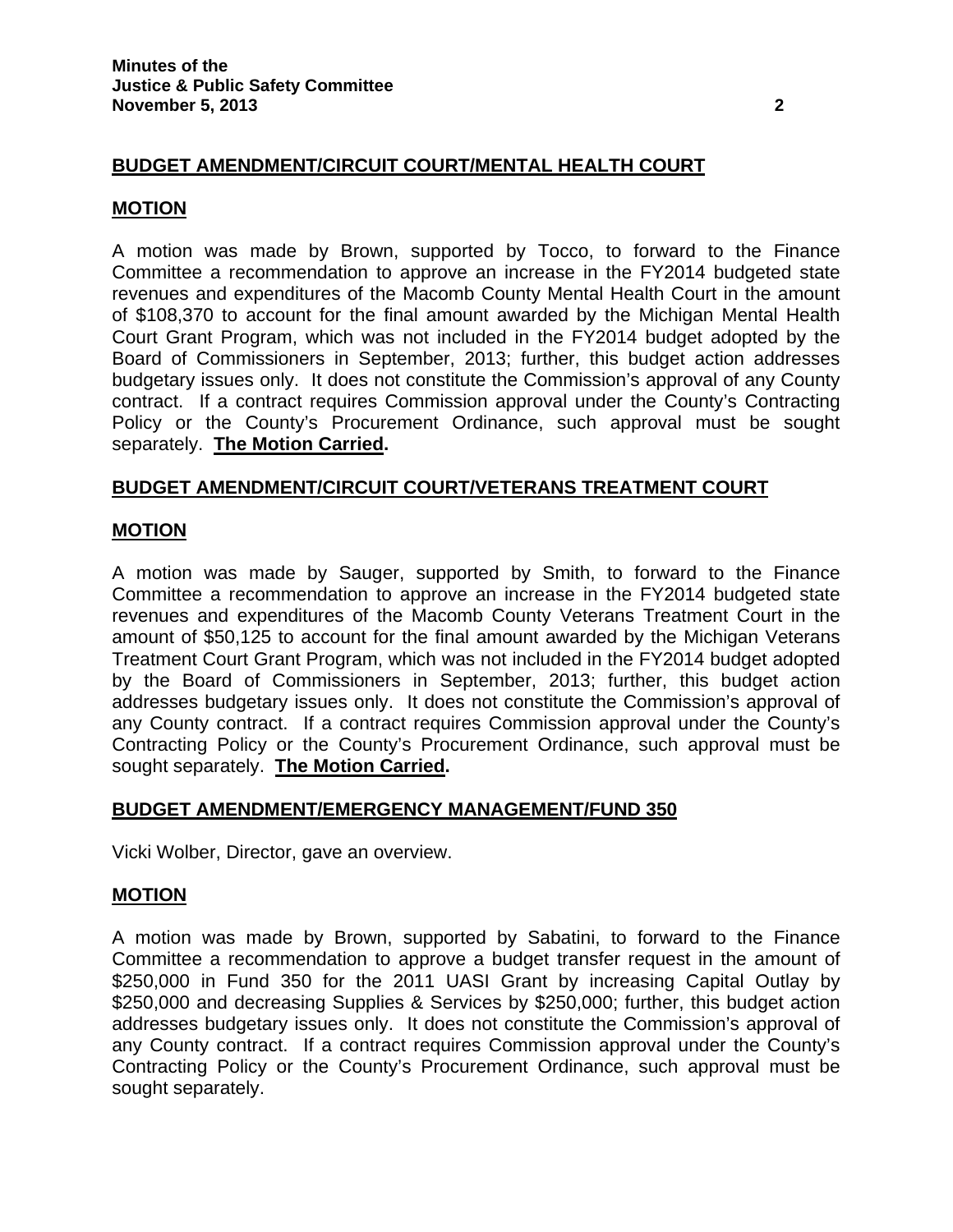## **BUDGET AMENDMENT/CIRCUIT COURT/MENTAL HEALTH COURT**

#### **MOTION**

A motion was made by Brown, supported by Tocco, to forward to the Finance Committee a recommendation to approve an increase in the FY2014 budgeted state revenues and expenditures of the Macomb County Mental Health Court in the amount of \$108,370 to account for the final amount awarded by the Michigan Mental Health Court Grant Program, which was not included in the FY2014 budget adopted by the Board of Commissioners in September, 2013; further, this budget action addresses budgetary issues only. It does not constitute the Commission's approval of any County contract. If a contract requires Commission approval under the County's Contracting Policy or the County's Procurement Ordinance, such approval must be sought separately. **The Motion Carried.**

#### **BUDGET AMENDMENT/CIRCUIT COURT/VETERANS TREATMENT COURT**

#### **MOTION**

A motion was made by Sauger, supported by Smith, to forward to the Finance Committee a recommendation to approve an increase in the FY2014 budgeted state revenues and expenditures of the Macomb County Veterans Treatment Court in the amount of \$50,125 to account for the final amount awarded by the Michigan Veterans Treatment Court Grant Program, which was not included in the FY2014 budget adopted by the Board of Commissioners in September, 2013; further, this budget action addresses budgetary issues only. It does not constitute the Commission's approval of any County contract. If a contract requires Commission approval under the County's Contracting Policy or the County's Procurement Ordinance, such approval must be sought separately. **The Motion Carried.** 

#### **BUDGET AMENDMENT/EMERGENCY MANAGEMENT/FUND 350**

Vicki Wolber, Director, gave an overview.

#### **MOTION**

A motion was made by Brown, supported by Sabatini, to forward to the Finance Committee a recommendation to approve a budget transfer request in the amount of \$250,000 in Fund 350 for the 2011 UASI Grant by increasing Capital Outlay by \$250,000 and decreasing Supplies & Services by \$250,000; further, this budget action addresses budgetary issues only. It does not constitute the Commission's approval of any County contract. If a contract requires Commission approval under the County's Contracting Policy or the County's Procurement Ordinance, such approval must be sought separately.